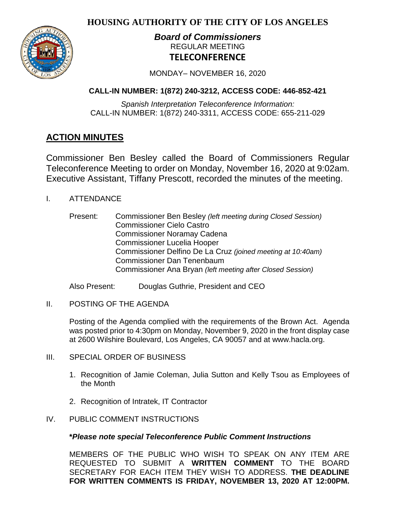**HOUSING AUTHORITY OF THE CITY OF LOS ANGELES**



# *Board of Commissioners* REGULAR MEETING **TELECONFERENCE**

MONDAY– NOVEMBER 16, 2020

# **CALL-IN NUMBER: 1(872) 240-3212, ACCESS CODE: 446-852-421**

*Spanish Interpretation Teleconference Information:* CALL-IN NUMBER: 1(872) 240-3311, ACCESS CODE: 655-211-029

# **ACTION MINUTES**

Commissioner Ben Besley called the Board of Commissioners Regular Teleconference Meeting to order on Monday, November 16, 2020 at 9:02am. Executive Assistant, Tiffany Prescott, recorded the minutes of the meeting.

- I. ATTENDANCE
	- Present: Commissioner Ben Besley *(left meeting during Closed Session)* Commissioner Cielo Castro Commissioner Noramay Cadena Commissioner Lucelia Hooper Commissioner Delfino De La Cruz *(joined meeting at 10:40am)* Commissioner Dan Tenenbaum Commissioner Ana Bryan *(left meeting after Closed Session)*

Also Present: Douglas Guthrie, President and CEO

II. POSTING OF THE AGENDA

Posting of the Agenda complied with the requirements of the Brown Act. Agenda was posted prior to 4:30pm on Monday, November 9, 2020 in the front display case at 2600 Wilshire Boulevard, Los Angeles, CA 90057 and at [www.hacla.org.](http://www.hacla.org/)

- III. SPECIAL ORDER OF BUSINESS
	- 1. Recognition of Jamie Coleman, Julia Sutton and Kelly Tsou as Employees of the Month
	- 2. Recognition of Intratek, IT Contractor
- IV. PUBLIC COMMENT INSTRUCTIONS

# **\****Please note special Teleconference Public Comment Instructions*

MEMBERS OF THE PUBLIC WHO WISH TO SPEAK ON ANY ITEM ARE REQUESTED TO SUBMIT A **WRITTEN COMMENT** TO THE BOARD SECRETARY FOR EACH ITEM THEY WISH TO ADDRESS. **THE DEADLINE FOR WRITTEN COMMENTS IS FRIDAY, NOVEMBER 13, 2020 AT 12:00PM.**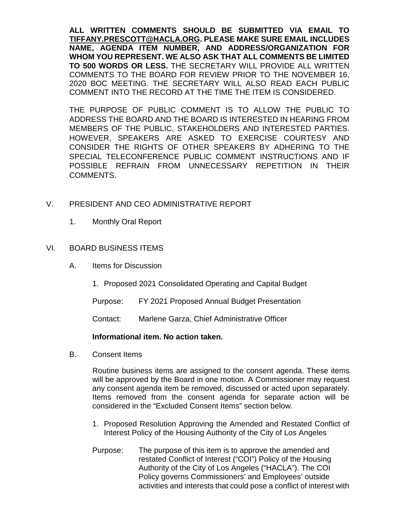**ALL WRITTEN COMMENTS SHOULD BE SUBMITTED VIA EMAIL TO [TIFFANY.PRESCOTT@HACLA.ORG.](mailto:TIFFANY.PRESCOTT@HACLA.ORG) PLEASE MAKE SURE EMAIL INCLUDES NAME, AGENDA ITEM NUMBER, AND ADDRESS/ORGANIZATION FOR WHOM YOU REPRESENT. WE ALSO ASK THAT ALL COMMENTS BE LIMITED TO 500 WORDS OR LESS.** THE SECRETARY WILL PROVIDE ALL WRITTEN COMMENTS TO THE BOARD FOR REVIEW PRIOR TO THE NOVEMBER 16, 2020 BOC MEETING. THE SECRETARY WILL ALSO READ EACH PUBLIC COMMENT INTO THE RECORD AT THE TIME THE ITEM IS CONSIDERED.

THE PURPOSE OF PUBLIC COMMENT IS TO ALLOW THE PUBLIC TO ADDRESS THE BOARD AND THE BOARD IS INTERESTED IN HEARING FROM MEMBERS OF THE PUBLIC, STAKEHOLDERS AND INTERESTED PARTIES. HOWEVER, SPEAKERS ARE ASKED TO EXERCISE COURTESY AND CONSIDER THE RIGHTS OF OTHER SPEAKERS BY ADHERING TO THE SPECIAL TELECONFERENCE PUBLIC COMMENT INSTRUCTIONS AND IF POSSIBLE REFRAIN FROM UNNECESSARY REPETITION IN THEIR COMMENTS.

# V. PRESIDENT AND CEO ADMINISTRATIVE REPORT

1. Monthly Oral Report

### VI. BOARD BUSINESS ITEMS

- A. Items for Discussion
	- 1. Proposed 2021 Consolidated Operating and Capital Budget

Purpose: FY 2021 Proposed Annual Budget Presentation

Contact: Marlene Garza, Chief Administrative Officer

### **Informational item. No action taken.**

B. Consent Items

Routine business items are assigned to the consent agenda. These items will be approved by the Board in one motion. A Commissioner may request any consent agenda item be removed, discussed or acted upon separately. Items removed from the consent agenda for separate action will be considered in the "Excluded Consent Items" section below.

- 1. Proposed Resolution Approving the Amended and Restated Conflict of Interest Policy of the Housing Authority of the City of Los Angeles
- Purpose: The purpose of this item is to approve the amended and restated Conflict of Interest ("COI") Policy of the Housing Authority of the City of Los Angeles ("HACLA"). The COI Policy governs Commissioners' and Employees' outside activities and interests that could pose a conflict of interest with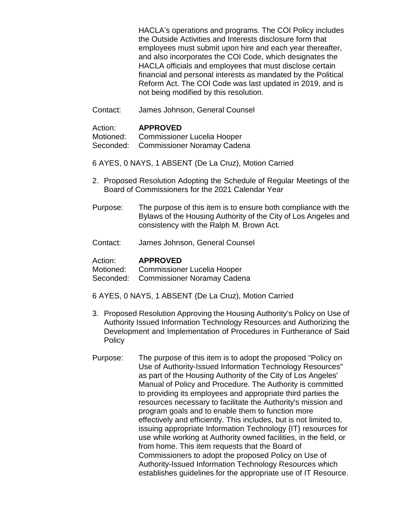HACLA's operations and programs. The COI Policy includes the Outside Activities and Interests disclosure form that employees must submit upon hire and each year thereafter, and also incorporates the COI Code, which designates the HACLA officials and employees that must disclose certain financial and personal interests as mandated by the Political Reform Act. The COI Code was last updated in 2019, and is not being modified by this resolution.

Contact: James Johnson, General Counsel

### Action: **APPROVED**

Motioned: Commissioner Lucelia Hooper

- Seconded: Commissioner Noramay Cadena
- 6 AYES, 0 NAYS, 1 ABSENT (De La Cruz), Motion Carried
- 2. Proposed Resolution Adopting the Schedule of Regular Meetings of the Board of Commissioners for the 2021 Calendar Year
- Purpose: The purpose of this item is to ensure both compliance with the Bylaws of the Housing Authority of the City of Los Angeles and consistency with the Ralph M. Brown Act.
- Contact: James Johnson, General Counsel

### Action: **APPROVED**

Motioned: Commissioner Lucelia Hooper

Seconded: Commissioner Noramay Cadena

- 6 AYES, 0 NAYS, 1 ABSENT (De La Cruz), Motion Carried
- 3. Proposed Resolution Approving the Housing Authority's Policy on Use of Authority Issued Information Technology Resources and Authorizing the Development and Implementation of Procedures in Furtherance of Said Policy
- Purpose: The purpose of this item is to adopt the proposed "Policy on Use of Authority-Issued Information Technology Resources" as part of the Housing Authority of the City of Los Angeles' Manual of Policy and Procedure. The Authority is committed to providing its employees and appropriate third parties the resources necessary to facilitate the Authority's mission and program goals and to enable them to function more effectively and efficiently. This includes, but is not limited to, issuing appropriate Information Technology {IT} resources for use while working at Authority owned facilities, in the field, or from home. This item requests that the Board of Commissioners to adopt the proposed Policy on Use of Authority-Issued Information Technology Resources which establishes guidelines for the appropriate use of IT Resource.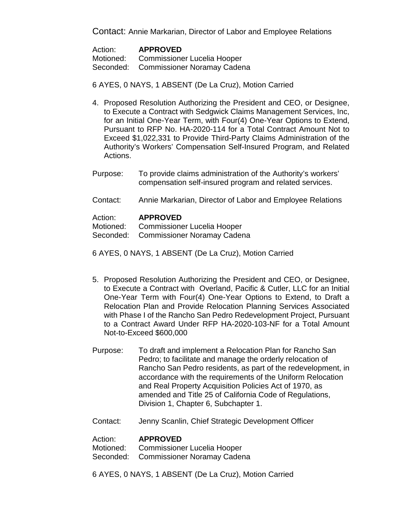Contact: Annie Markarian, Director of Labor and Employee Relations

| Action: | <b>APPROVED</b>                       |
|---------|---------------------------------------|
|         | Motioned: Commissioner Lucelia Hooper |
|         | Seconded: Commissioner Noramay Cadena |

6 AYES, 0 NAYS, 1 ABSENT (De La Cruz), Motion Carried

- 4. Proposed Resolution Authorizing the President and CEO, or Designee, to Execute a Contract with Sedgwick Claims Management Services, Inc, for an Initial One-Year Term, with Four(4) One-Year Options to Extend, Pursuant to RFP No. HA-2020-114 for a Total Contract Amount Not to Exceed \$1,022,331 to Provide Third-Party Claims Administration of the Authority's Workers' Compensation Self-Insured Program, and Related Actions.
- Purpose: To provide claims administration of the Authority's workers' compensation self-insured program and related services.
- Contact: Annie Markarian, Director of Labor and Employee Relations

Action: **APPROVED**<br>Motioned: Commissione Commissioner Lucelia Hooper

Seconded: Commissioner Noramay Cadena

6 AYES, 0 NAYS, 1 ABSENT (De La Cruz), Motion Carried

- 5. Proposed Resolution Authorizing the President and CEO, or Designee, to Execute a Contract with Overland, Pacific & Cutler, LLC for an Initial One-Year Term with Four(4) One-Year Options to Extend, to Draft a Relocation Plan and Provide Relocation Planning Services Associated with Phase I of the Rancho San Pedro Redevelopment Project, Pursuant to a Contract Award Under RFP HA-2020-103-NF for a Total Amount Not-to-Exceed \$600,000
- Purpose: To draft and implement a Relocation Plan for Rancho San Pedro; to facilitate and manage the orderly relocation of Rancho San Pedro residents, as part of the redevelopment, in accordance with the requirements of the Uniform Relocation and Real Property Acquisition Policies Act of 1970, as amended and Title 25 of California Code of Regulations, Division 1, Chapter 6, Subchapter 1.
- Contact: Jenny Scanlin, Chief Strategic Development Officer

### Action: **APPROVED**

Motioned: Commissioner Lucelia Hooper

Seconded: Commissioner Noramay Cadena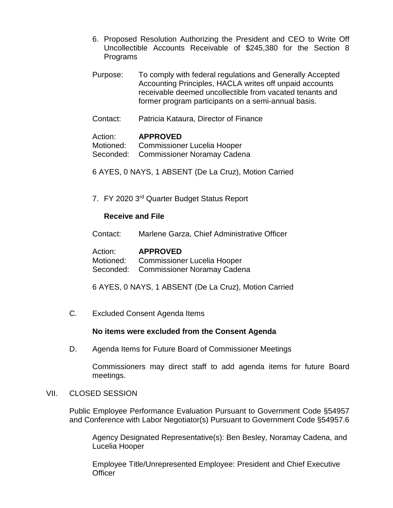- 6. Proposed Resolution Authorizing the President and CEO to Write Off Uncollectible Accounts Receivable of \$245,380 for the Section 8 Programs
- Purpose: To comply with federal regulations and Generally Accepted Accounting Principles, HACLA writes off unpaid accounts receivable deemed uncollectible from vacated tenants and former program participants on a semi-annual basis.
- Contact: Patricia Kataura, Director of Finance

Action: **APPROVED**<br>Motioned: Commissione Commissioner Lucelia Hooper Seconded: Commissioner Noramay Cadena

- 6 AYES, 0 NAYS, 1 ABSENT (De La Cruz), Motion Carried
- 7. FY 2020 3rd Quarter Budget Status Report

### **Receive and File**

Contact: Marlene Garza, Chief Administrative Officer

| Action: | <b>APPROVED</b>                       |
|---------|---------------------------------------|
|         | Motioned: Commissioner Lucelia Hooper |
|         | Seconded: Commissioner Noramay Cadena |

- 6 AYES, 0 NAYS, 1 ABSENT (De La Cruz), Motion Carried
- C. Excluded Consent Agenda Items

### **No items were excluded from the Consent Agenda**

D. Agenda Items for Future Board of Commissioner Meetings

Commissioners may direct staff to add agenda items for future Board meetings.

VII. CLOSED SESSION

Public Employee Performance Evaluation Pursuant to Government Code §54957 and Conference with Labor Negotiator(s) Pursuant to Government Code §54957.6

Agency Designated Representative(s): Ben Besley, Noramay Cadena, and Lucelia Hooper

Employee Title/Unrepresented Employee: President and Chief Executive **Officer**